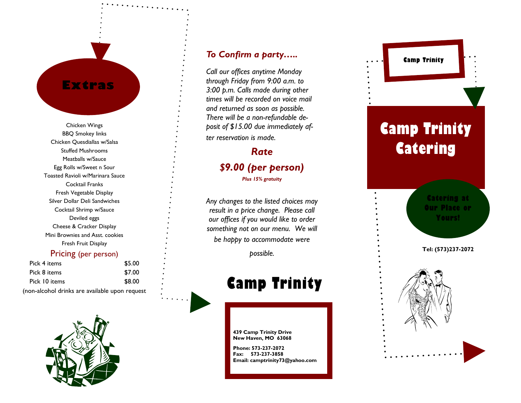## **Extras**

Chicken Wings BBQ Smokey links Chicken Quesdiallas w/Salsa Stuffed Mushrooms Meatballs w/Sauce Egg Rolls w/Sweet n Sour Toasted Ravioli w/Marinara Sauce Cocktail Franks Fresh Vegetable Display Silver Dollar Deli Sandwiches Cocktail Shrimp w/Sauce Deviled eggs Cheese & Cracker Display Mini Brownies and Asst. cookies Fresh Fruit Display

### Pricing (per person)

| Pick 4 items                                   | \$5.00 |
|------------------------------------------------|--------|
| Pick 8 items                                   | \$7.00 |
| Pick 10 items                                  | \$8.00 |
| (non-alcohol drinks are available upon request |        |



### *To Confirm a party…..*

*Call our offices anytime Monday through Friday from 9:00 a.m. to 3:00 p.m. Calls made during other times will be recorded on voice mail and returned as soon as possible. There will be a non -refundable deposit of \$15.00 due immediately after reservation is made.* 

## *Rate \$9.00 (per person) Plus 15% gratuity*

*Any changes to the listed choices may result in a price change. Please call our offices if you would like to order something not on our menu. We will be happy to accommodate were* 

*possible.*

# **Camp Trinity**

**439 Camp Trinity Drive New Haven, MO 63068**

**Phone: 573 -237 -2072 Fax: 573 -237 -3858 Email: camptrinity73@yahoo.com**

# **Camp Trinity Catering**

**Camp Trinity** 

**Catering at Our Place or Yours!**

**Tel: (573)237 -2072**